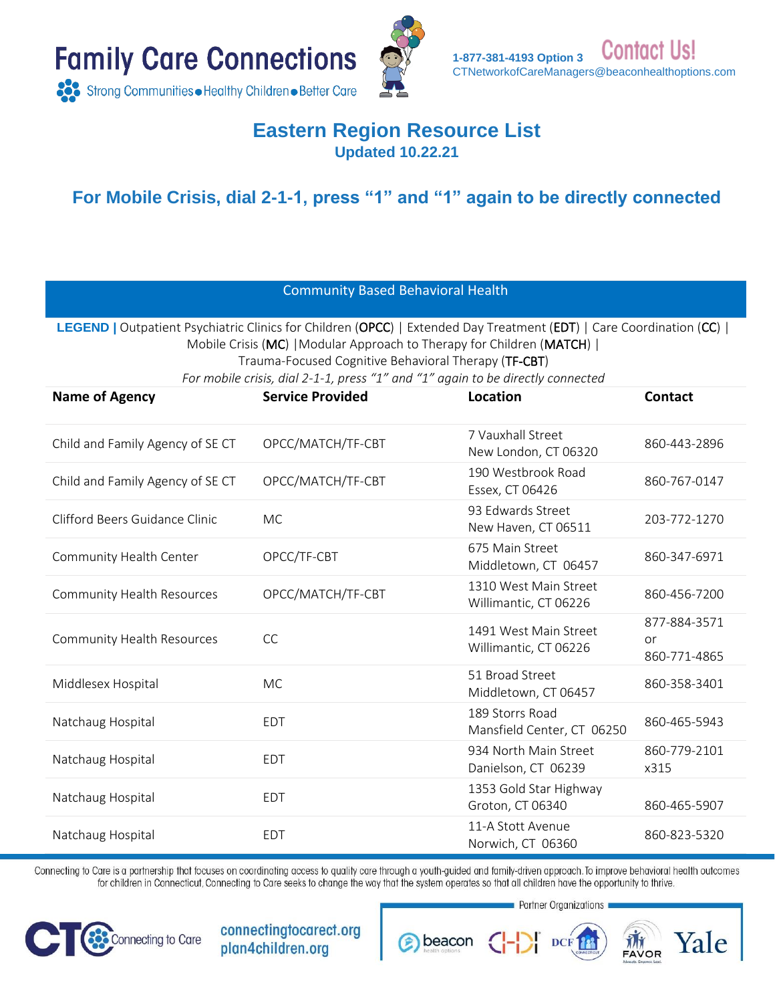



#### **Eastern Region Resource List Updated 10.22.21**

**For Mobile Crisis, dial 2-1-1, press "1" and "1" again to be directly connected**

| <b>Community Based Behavioral Health</b>                                                                                                                                                                                                                                                                                                    |                         |                                                |                                    |
|---------------------------------------------------------------------------------------------------------------------------------------------------------------------------------------------------------------------------------------------------------------------------------------------------------------------------------------------|-------------------------|------------------------------------------------|------------------------------------|
| LEGEND   Outpatient Psychiatric Clinics for Children (OPCC)   Extended Day Treatment (EDT)   Care Coordination (CC)  <br>Mobile Crisis (MC)   Modular Approach to Therapy for Children (MATCH)  <br>Trauma-Focused Cognitive Behavioral Therapy (TF-CBT)<br>For mobile crisis, dial 2-1-1, press "1" and "1" again to be directly connected |                         |                                                |                                    |
| <b>Name of Agency</b>                                                                                                                                                                                                                                                                                                                       | <b>Service Provided</b> | <b>Location</b>                                | <b>Contact</b>                     |
| Child and Family Agency of SE CT                                                                                                                                                                                                                                                                                                            | OPCC/MATCH/TF-CBT       | 7 Vauxhall Street<br>New London, CT 06320      | 860-443-2896                       |
| Child and Family Agency of SE CT                                                                                                                                                                                                                                                                                                            | OPCC/MATCH/TF-CBT       | 190 Westbrook Road<br>Essex, CT 06426          | 860-767-0147                       |
| Clifford Beers Guidance Clinic                                                                                                                                                                                                                                                                                                              | <b>MC</b>               | 93 Edwards Street<br>New Haven, CT 06511       | 203-772-1270                       |
| Community Health Center                                                                                                                                                                                                                                                                                                                     | OPCC/TF-CBT             | 675 Main Street<br>Middletown, CT 06457        | 860-347-6971                       |
| Community Health Resources                                                                                                                                                                                                                                                                                                                  | OPCC/MATCH/TF-CBT       | 1310 West Main Street<br>Willimantic, CT 06226 | 860-456-7200                       |
| <b>Community Health Resources</b>                                                                                                                                                                                                                                                                                                           | <b>CC</b>               | 1491 West Main Street<br>Willimantic, CT 06226 | 877-884-3571<br>or<br>860-771-4865 |
| Middlesex Hospital                                                                                                                                                                                                                                                                                                                          | <b>MC</b>               | 51 Broad Street<br>Middletown, CT 06457        | 860-358-3401                       |
| Natchaug Hospital                                                                                                                                                                                                                                                                                                                           | <b>EDT</b>              | 189 Storrs Road<br>Mansfield Center, CT 06250  | 860-465-5943                       |
| Natchaug Hospital                                                                                                                                                                                                                                                                                                                           | <b>EDT</b>              | 934 North Main Street<br>Danielson, CT 06239   | 860-779-2101<br>x315               |
| Natchaug Hospital                                                                                                                                                                                                                                                                                                                           | <b>EDT</b>              | 1353 Gold Star Highway<br>Groton, CT 06340     | 860-465-5907                       |
| Natchaug Hospital                                                                                                                                                                                                                                                                                                                           | <b>EDT</b>              | 11-A Stott Avenue<br>Norwich, CT 06360         | 860-823-5320                       |

Connecting to Care is a partnership that focuses on coordinating access to quality care through a youth-guided and family-driven approach. To improve behavioral health outcomes for children in Connecticut, Connecting to Care seeks to change the way that the system operates so that all children have the opportunity to thrive.

**e** beacon



connectingtocarect.org plan4children.org

**Partner Organizations** 

Yale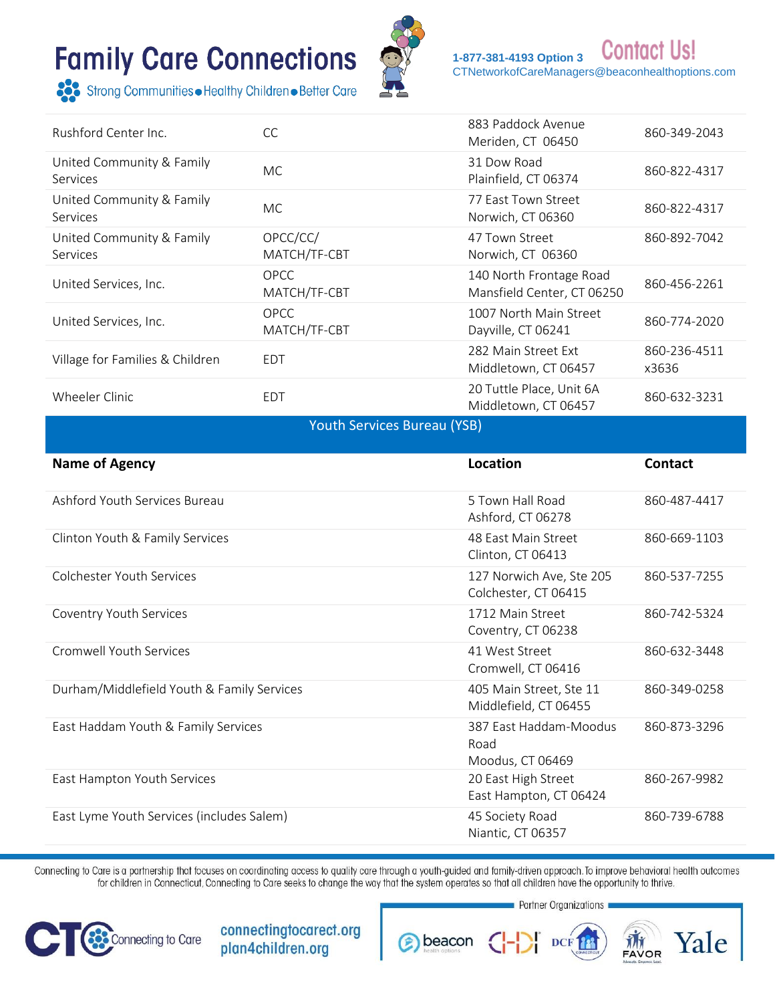

**Contact Us! 1-877-381-4193 Option 3**  [CTNetworkofCareManagers@beaconhealthoptions.com](file:///C:/Users/jcalabr/AppData/Local/Microsoft/Windows/INetCache/Content.Outlook/TR80OH5H/CTNetworkofCareManagers@beaconhealthoptions.com)

Strong Communities • Healthy Children • Better Care

| Rushford Center Inc.                  | <b>CC</b>                   | 883 Paddock Avenue<br>Meriden, CT 06450               | 860-349-2043          |
|---------------------------------------|-----------------------------|-------------------------------------------------------|-----------------------|
| United Community & Family<br>Services | <b>MC</b>                   | 31 Dow Road<br>Plainfield, CT 06374                   | 860-822-4317          |
| United Community & Family<br>Services | MC.                         | 77 East Town Street<br>Norwich, CT 06360              | 860-822-4317          |
| United Community & Family<br>Services | OPCC/CC/<br>MATCH/TF-CBT    | 47 Town Street<br>Norwich, CT 06360                   | 860-892-7042          |
| United Services, Inc.                 | <b>OPCC</b><br>MATCH/TF-CBT | 140 North Frontage Road<br>Mansfield Center, CT 06250 | 860-456-2261          |
| United Services, Inc.                 | <b>OPCC</b><br>MATCH/TF-CBT | 1007 North Main Street<br>Dayville, CT 06241          | 860-774-2020          |
| Village for Families & Children       | <b>EDT</b>                  | 282 Main Street Ext<br>Middletown, CT 06457           | 860-236-4511<br>x3636 |
| Wheeler Clinic                        | <b>EDT</b>                  | 20 Tuttle Place, Unit 6A<br>Middletown, CT 06457      | 860-632-3231          |

Youth Services Bureau (YSB)

| <b>Name of Agency</b>                      | Location                                           | <b>Contact</b> |
|--------------------------------------------|----------------------------------------------------|----------------|
| Ashford Youth Services Bureau              | 5 Town Hall Road<br>Ashford, CT 06278              | 860-487-4417   |
| Clinton Youth & Family Services            | 48 East Main Street<br>Clinton, CT 06413           | 860-669-1103   |
| Colchester Youth Services                  | 127 Norwich Ave, Ste 205<br>Colchester, CT 06415   | 860-537-7255   |
| Coventry Youth Services                    | 1712 Main Street<br>Coventry, CT 06238             | 860-742-5324   |
| Cromwell Youth Services                    | 41 West Street<br>Cromwell, CT 06416               | 860-632-3448   |
| Durham/Middlefield Youth & Family Services | 405 Main Street, Ste 11<br>Middlefield, CT 06455   | 860-349-0258   |
| East Haddam Youth & Family Services        | 387 East Haddam-Moodus<br>Road<br>Moodus, CT 06469 | 860-873-3296   |
| East Hampton Youth Services                | 20 East High Street<br>East Hampton, CT 06424      | 860-267-9982   |
| East Lyme Youth Services (includes Salem)  | 45 Society Road<br>Niantic, CT 06357               | 860-739-6788   |

Connecting to Care is a partnership that focuses on coordinating access to quality care through a youth-guided and family-driven approach. To improve behavioral health outcomes for children in Connecticut, Connecting to Care seeks to change the way that the system operates so that all children have the opportunity to thrive.

s beacon



connectingtocarect.org plan4children.org

Partner Organizations

DCF<sub>18</sub>

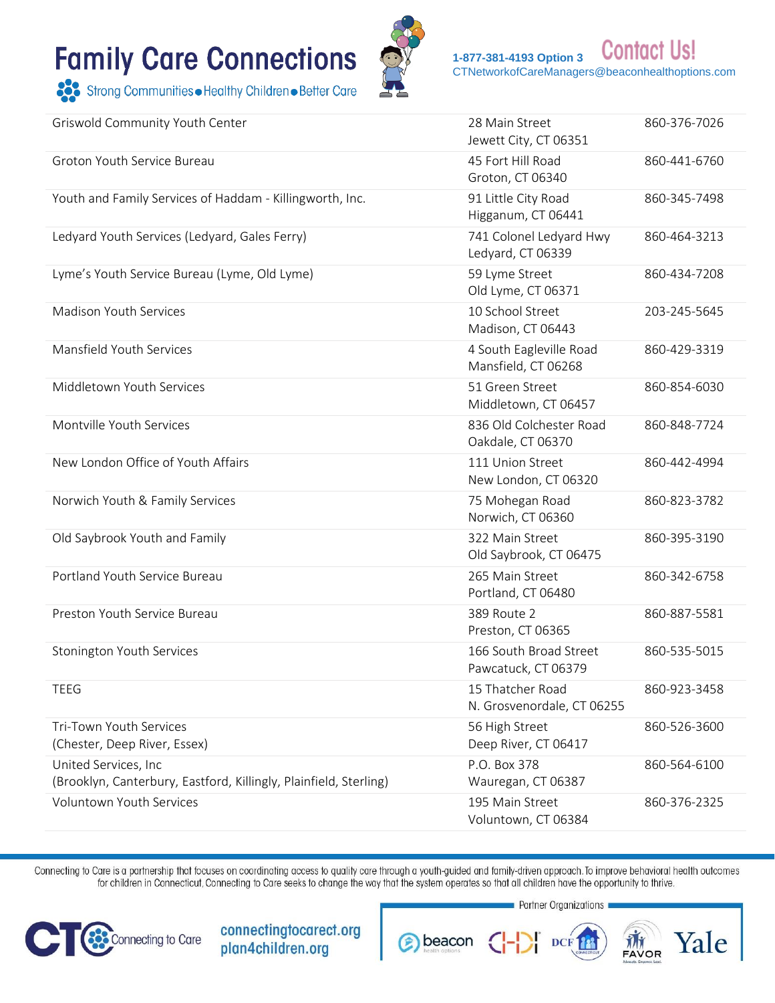Strong Communities • Healthy Children • Better Care



**Contact Us! 1-877-381-4193 Option 3**  [CTNetworkofCareManagers@beaconhealthoptions.com](file:///C:/Users/jcalabr/AppData/Local/Microsoft/Windows/INetCache/Content.Outlook/TR80OH5H/CTNetworkofCareManagers@beaconhealthoptions.com)

| Griswold Community Youth Center                                                           | 28 Main Street<br>Jewett City, CT 06351        | 860-376-7026 |
|-------------------------------------------------------------------------------------------|------------------------------------------------|--------------|
| Groton Youth Service Bureau                                                               | 45 Fort Hill Road<br>Groton, CT 06340          | 860-441-6760 |
| Youth and Family Services of Haddam - Killingworth, Inc.                                  | 91 Little City Road<br>Higganum, CT 06441      | 860-345-7498 |
| Ledyard Youth Services (Ledyard, Gales Ferry)                                             | 741 Colonel Ledyard Hwy<br>Ledyard, CT 06339   | 860-464-3213 |
| Lyme's Youth Service Bureau (Lyme, Old Lyme)                                              | 59 Lyme Street<br>Old Lyme, CT 06371           | 860-434-7208 |
| Madison Youth Services                                                                    | 10 School Street<br>Madison, CT 06443          | 203-245-5645 |
| Mansfield Youth Services                                                                  | 4 South Eagleville Road<br>Mansfield, CT 06268 | 860-429-3319 |
| Middletown Youth Services                                                                 | 51 Green Street<br>Middletown, CT 06457        | 860-854-6030 |
| Montville Youth Services                                                                  | 836 Old Colchester Road<br>Oakdale, CT 06370   | 860-848-7724 |
| New London Office of Youth Affairs                                                        | 111 Union Street<br>New London, CT 06320       | 860-442-4994 |
| Norwich Youth & Family Services                                                           | 75 Mohegan Road<br>Norwich, CT 06360           | 860-823-3782 |
| Old Saybrook Youth and Family                                                             | 322 Main Street<br>Old Saybrook, CT 06475      | 860-395-3190 |
| Portland Youth Service Bureau                                                             | 265 Main Street<br>Portland, CT 06480          | 860-342-6758 |
| Preston Youth Service Bureau                                                              | 389 Route 2<br>Preston, CT 06365               | 860-887-5581 |
| Stonington Youth Services                                                                 | 166 South Broad Street<br>Pawcatuck, CT 06379  | 860-535-5015 |
| <b>TEEG</b>                                                                               | 15 Thatcher Road<br>N. Grosvenordale, CT 06255 | 860-923-3458 |
| Tri-Town Youth Services                                                                   | 56 High Street                                 | 860-526-3600 |
| (Chester, Deep River, Essex)                                                              | Deep River, CT 06417                           |              |
| United Services, Inc<br>(Brooklyn, Canterbury, Eastford, Killingly, Plainfield, Sterling) | P.O. Box 378<br>Wauregan, CT 06387             | 860-564-6100 |
| <b>Voluntown Youth Services</b>                                                           | 195 Main Street<br>Voluntown, CT 06384         | 860-376-2325 |

Connecting to Care is a partnership that focuses on coordinating access to quality care through a youth-guided and family-driven approach. To improve behavioral health outcomes for children in Connecticut, Connecting to Care seeks to change the way that the system operates so that all children have the opportunity to thrive.



connectingtocarect.org plan4children.org

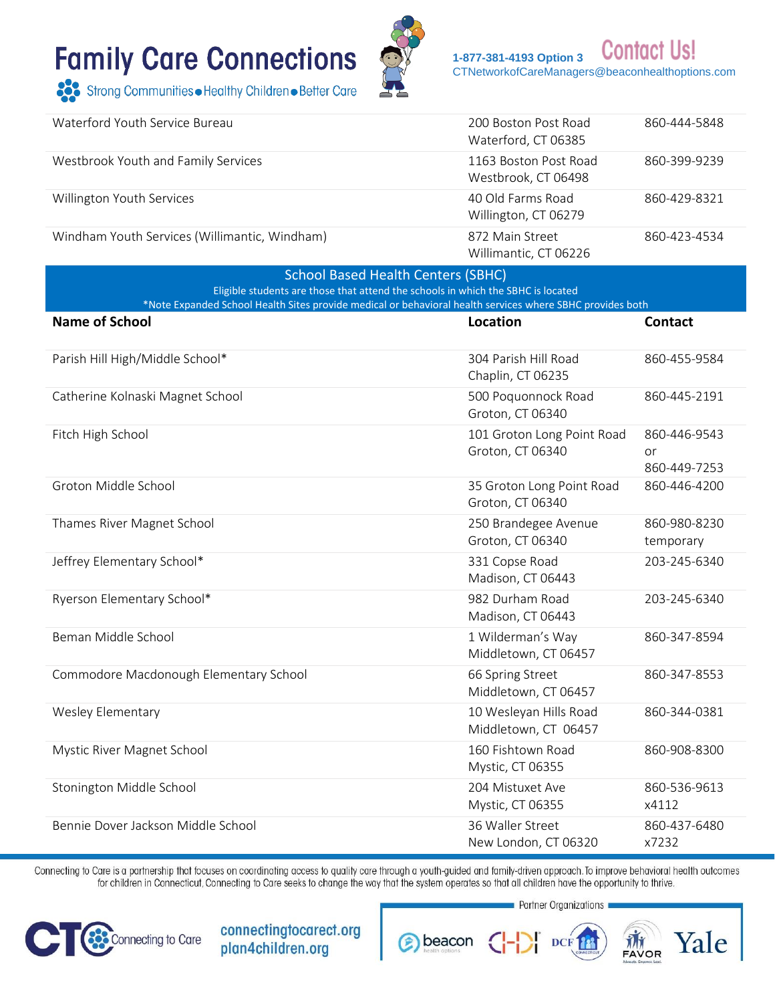

**Contact Us!** 1-877-381-4193 Option 3 CTNetworkofCareManagers@beaconhealthoptions.com

Strong Communities • Healthy Children • Better Care

| Waterford Youth Service Bureau                                                                                                                                                                | 200 Boston Post Road<br>Waterford, CT 06385    | 860-444-5848                       |
|-----------------------------------------------------------------------------------------------------------------------------------------------------------------------------------------------|------------------------------------------------|------------------------------------|
| Westbrook Youth and Family Services                                                                                                                                                           | 1163 Boston Post Road<br>Westbrook, CT 06498   | 860-399-9239                       |
| Willington Youth Services                                                                                                                                                                     | 40 Old Farms Road<br>Willington, CT 06279      | 860-429-8321                       |
| Windham Youth Services (Willimantic, Windham)                                                                                                                                                 | 872 Main Street<br>Willimantic, CT 06226       | 860-423-4534                       |
| <b>School Based Health Centers (SBHC)</b>                                                                                                                                                     |                                                |                                    |
| Eligible students are those that attend the schools in which the SBHC is located<br>*Note Expanded School Health Sites provide medical or behavioral health services where SBHC provides both |                                                |                                    |
| <b>Name of School</b>                                                                                                                                                                         | <b>Location</b>                                | <b>Contact</b>                     |
| Parish Hill High/Middle School*                                                                                                                                                               | 304 Parish Hill Road<br>Chaplin, CT 06235      | 860-455-9584                       |
| Catherine Kolnaski Magnet School                                                                                                                                                              | 500 Poquonnock Road<br>Groton, CT 06340        | 860-445-2191                       |
| Fitch High School                                                                                                                                                                             | 101 Groton Long Point Road<br>Groton, CT 06340 | 860-446-9543<br>or<br>860-449-7253 |
| Groton Middle School                                                                                                                                                                          | 35 Groton Long Point Road<br>Groton, CT 06340  | 860-446-4200                       |
| Thames River Magnet School                                                                                                                                                                    | 250 Brandegee Avenue<br>Groton, CT 06340       | 860-980-8230<br>temporary          |
| Jeffrey Elementary School*                                                                                                                                                                    | 331 Copse Road<br>Madison, CT 06443            | 203-245-6340                       |
| Ryerson Elementary School*                                                                                                                                                                    | 982 Durham Road<br>Madison, CT 06443           | 203-245-6340                       |
| Beman Middle School                                                                                                                                                                           | 1 Wilderman's Way<br>Middletown, CT 06457      | 860-347-8594                       |
| Commodore Macdonough Elementary School                                                                                                                                                        | 66 Spring Street<br>Middletown, CT 06457       | 860-347-8553                       |
| <b>Wesley Elementary</b>                                                                                                                                                                      | 10 Wesleyan Hills Road<br>Middletown, CT 06457 | 860-344-0381                       |
| Mystic River Magnet School                                                                                                                                                                    | 160 Fishtown Road<br>Mystic, CT 06355          | 860-908-8300                       |
| Stonington Middle School                                                                                                                                                                      | 204 Mistuxet Ave<br>Mystic, CT 06355           | 860-536-9613<br>x4112              |
| Bennie Dover Jackson Middle School                                                                                                                                                            | 36 Waller Street<br>New London, CT 06320       | 860-437-6480<br>x7232              |

Connecting to Care is a partnership that focuses on coordinating access to quality care through a youth-guided and family-driven approach. To improve behavioral health outcomes for children in Connecticut, Connecting to Care seeks to change the way that the system operates so that all children have the opportunity to thrive.

**B** beacon



connectingtocarect.org plan4children.org

Partner Organizations

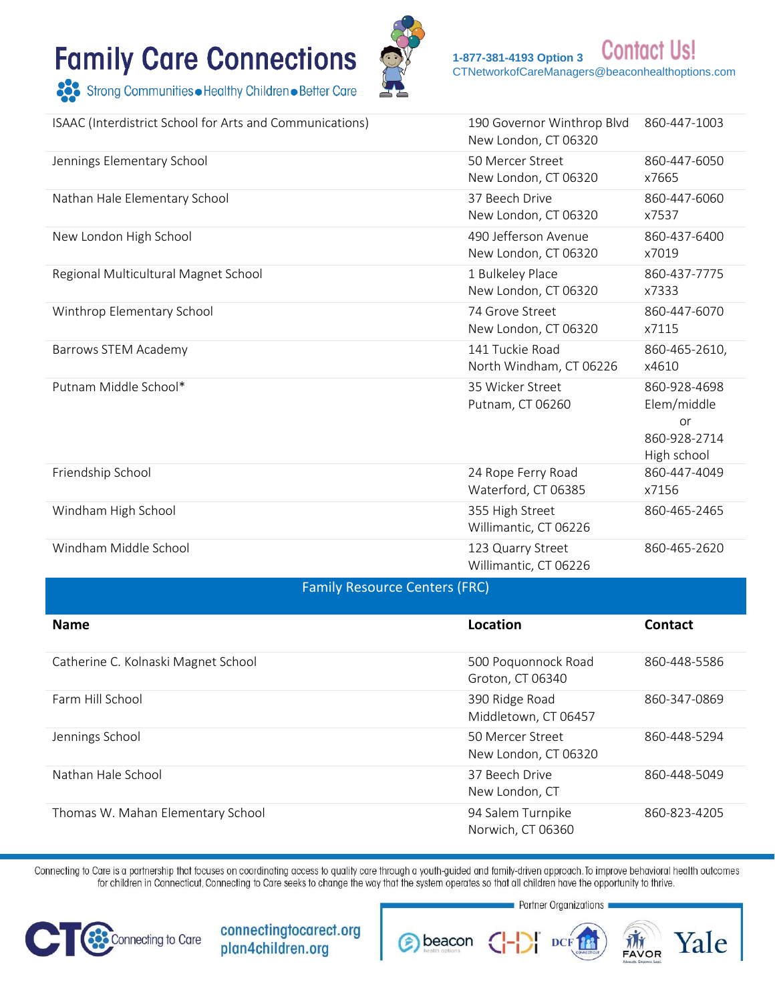

**Contact Us!** 1-877-381-4193 Option 3 CTNetworkofCareManagers@beaconhealthoptions.com

Strong Communities • Healthy Children • Better Care

| ISAAC (Interdistrict School for Arts and Communications) | 190 Governor Winthrop Blvd<br>New London, CT 06320 | 860-447-1003                                                     |
|----------------------------------------------------------|----------------------------------------------------|------------------------------------------------------------------|
| Jennings Elementary School                               | 50 Mercer Street<br>New London, CT 06320           | 860-447-6050<br>x7665                                            |
| Nathan Hale Elementary School                            | 37 Beech Drive<br>New London, CT 06320             | 860-447-6060<br>x7537                                            |
| New London High School                                   | 490 Jefferson Avenue<br>New London, CT 06320       | 860-437-6400<br>x7019                                            |
| Regional Multicultural Magnet School                     | 1 Bulkeley Place<br>New London, CT 06320           | 860-437-7775<br>x7333                                            |
| Winthrop Elementary School                               | 74 Grove Street<br>New London, CT 06320            | 860-447-6070<br>x7115                                            |
| Barrows STEM Academy                                     | 141 Tuckie Road<br>North Windham, CT 06226         | 860-465-2610,<br>x4610                                           |
| Putnam Middle School*                                    | 35 Wicker Street<br>Putnam, CT 06260               | 860-928-4698<br>Elem/middle<br>or<br>860-928-2714<br>High school |
| Friendship School                                        | 24 Rope Ferry Road<br>Waterford, CT 06385          | 860-447-4049<br>x7156                                            |
| Windham High School                                      | 355 High Street<br>Willimantic, CT 06226           | 860-465-2465                                                     |
| Windham Middle School                                    | 123 Quarry Street<br>Willimantic, CT 06226         | 860-465-2620                                                     |
| Family Resource Centers (FRC)                            |                                                    |                                                                  |

| <b>Name</b>                         | Location                                 | <b>Contact</b> |
|-------------------------------------|------------------------------------------|----------------|
| Catherine C. Kolnaski Magnet School | 500 Poquonnock Road<br>Groton, CT 06340  | 860-448-5586   |
| Farm Hill School                    | 390 Ridge Road<br>Middletown, CT 06457   | 860-347-0869   |
| Jennings School                     | 50 Mercer Street<br>New London, CT 06320 | 860-448-5294   |
| Nathan Hale School                  | 37 Beech Drive<br>New London, CT         | 860-448-5049   |
| Thomas W. Mahan Elementary School   | 94 Salem Turnpike<br>Norwich, CT 06360   | 860-823-4205   |

Connecting to Care is a partnership that focuses on coordinating access to quality care through a youth-guided and family-driven approach. To improve behavioral health outcomes for children in Connecticut, Connecting to Care seeks to change the way that the system operates so that all children have the opportunity to thrive.



connectingtocarect.org plan4children.org

Partner Organizations **THE** Yale **B** beacon **DCF**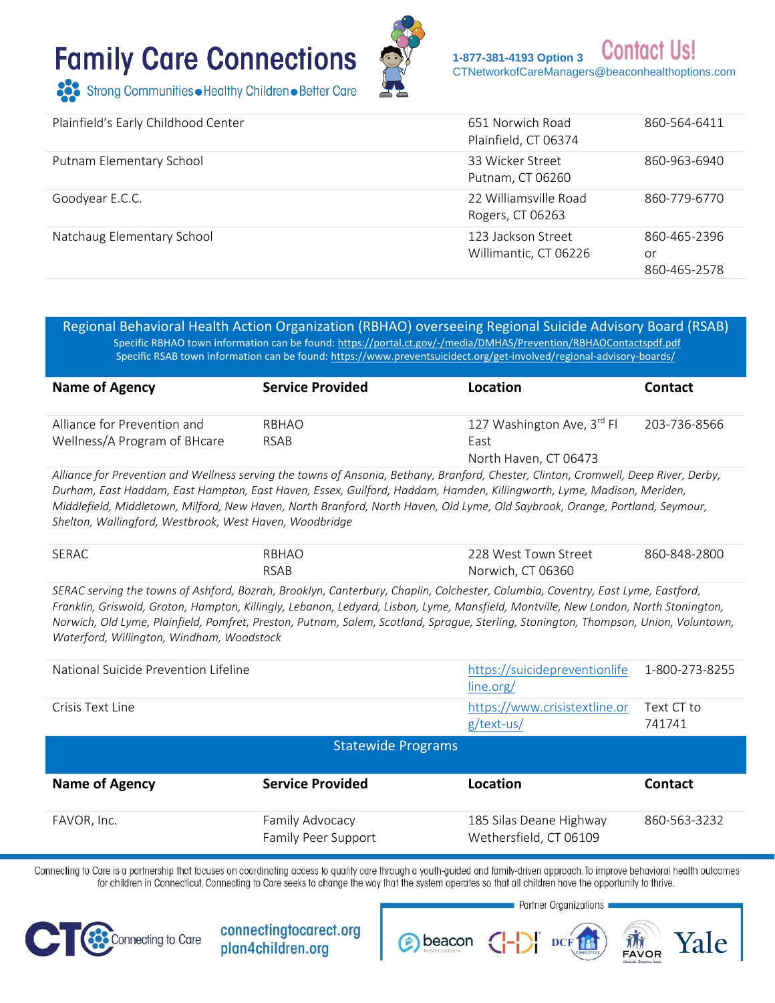

Contact **1-877-381-4193 Option 3**  [CTNetworkofCareManagers@beaconhealthoptions.com](file:///C:/Users/jcalabr/AppData/Local/Microsoft/Windows/INetCache/Content.Outlook/TR80OH5H/CTNetworkofCareManagers@beaconhealthoptions.com)

| Plainfield's Early Childhood Center | 651 Norwich Road<br>Plainfield, CT 06374    | 860-564-6411                       |
|-------------------------------------|---------------------------------------------|------------------------------------|
| Putnam Elementary School            | 33 Wicker Street<br>Putnam, CT 06260        | 860-963-6940                       |
| Goodyear E.C.C.                     | 22 Williamsville Road<br>Rogers, CT 06263   | 860-779-6770                       |
| Natchaug Elementary School          | 123 Jackson Street<br>Willimantic, CT 06226 | 860-465-2396<br>or<br>860-465-2578 |

Regional Behavioral Health Action Organization (RBHAO) overseeing Regional Suicide Advisory Board (RSAB) Specific RBHAO town information can be found:<https://portal.ct.gov/-/media/DMHAS/Prevention/RBHAOContactspdf.pdf> Specific RSAB town information can be found: https://www.preventsuicidect.org/get-involved/regional-advisory-boards/

| <b>Name of Agency</b>        | <b>Service Provided</b> | Location                               | <b>Contact</b> |
|------------------------------|-------------------------|----------------------------------------|----------------|
| Alliance for Prevention and  | RBHAO                   | 127 Washington Ave, 3 <sup>rd</sup> Fl | 203-736-8566   |
| Wellness/A Program of BHcare | RSAB                    | East                                   |                |
|                              |                         | North Haven, CT 06473                  |                |

*Alliance for Prevention and Wellness serving the towns of Ansonia, Bethany, Branford, Chester, Clinton, Cromwell, Deep River, Derby, Durham, East Haddam, East Hampton, East Haven, Essex, Guilford, Haddam, Hamden, Killingworth, Lyme, Madison, Meriden, Middlefield, Middletown, Milford, New Haven, North Branford, North Haven, Old Lyme, Old Saybrook, Orange, Portland, Seymour, Shelton, Wallingford, Westbrook, West Haven, Woodbridge*

| SERAC | RBHAO       | 228 West Town Street | 860-848-2800 |
|-------|-------------|----------------------|--------------|
|       | <b>RSAB</b> | Norwich, CT 06360    |              |

*SERAC serving the towns of Ashford, Bozrah, Brooklyn, Canterbury, Chaplin, Colchester, Columbia, Coventry, East Lyme, Eastford, Franklin, Griswold, Groton, Hampton, Killingly, Lebanon, Ledyard, Lisbon, Lyme, Mansfield, Montville, New London, North Stonington, Norwich, Old Lyme, Plainfield, Pomfret, Preston, Putnam, Salem, Scotland, Sprague, Sterling, Stonington, Thompson, Union, Voluntown, Waterford, Willington, Windham, Woodstock*

| National Suicide Prevention Lifeline |                                        | https://suicidepreventionlife<br>line.org/        | 1-800-273-8255       |
|--------------------------------------|----------------------------------------|---------------------------------------------------|----------------------|
| Crisis Text Line                     |                                        | https://www.crisistextline.or<br>$g$ /text-us/    | Text CT to<br>741741 |
|                                      | <b>Statewide Programs</b>              |                                                   |                      |
| <b>Name of Agency</b>                | <b>Service Provided</b>                | Location                                          | Contact              |
| FAVOR, Inc.                          | Family Advocacy<br>Family Peer Support | 185 Silas Deane Highway<br>Wethersfield, CT 06109 | 860-563-3232         |

Connecting to Care is a partnership that focuses on coordinating access to quality care through a youth-guided and family-driven approach. To improve behavioral health outcomes for children in Connecticut, Connecting to Care seeks to change the way that the system operates so that all children have the opportunity to thrive.



connectingtocarect.org plan4children.org

Partner Organizations beacon